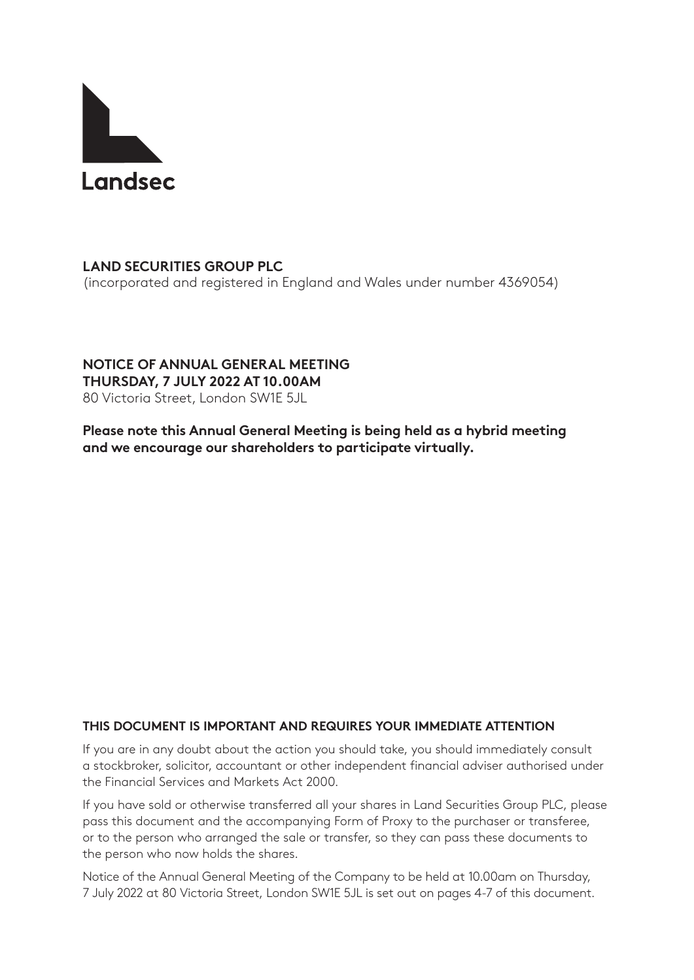

# **LAND SECURITIES GROUP PLC**

(incorporated and registered in England and Wales under number 4369054)

# **NOTICE OF ANNUAL GENERAL MEETING**

**THURSDAY, 7 JULY 2022 AT 10.00AM**

80 Victoria Street, London SW1E 5JL

**Please note this Annual General Meeting is being held as a hybrid meeting and we encourage our shareholders to participate virtually.** 

# **THIS DOCUMENT IS IMPORTANT AND REQUIRES YOUR IMMEDIATE ATTENTION**

If you are in any doubt about the action you should take, you should immediately consult a stockbroker, solicitor, accountant or other independent financial adviser authorised under the Financial Services and Markets Act 2000.

If you have sold or otherwise transferred all your shares in Land Securities Group PLC, please pass this document and the accompanying Form of Proxy to the purchaser or transferee, or to the person who arranged the sale or transfer, so they can pass these documents to the person who now holds the shares.

Notice of the Annual General Meeting of the Company to be held at 10.00am on Thursday, 7 July 2022 at 80 Victoria Street, London SW1E 5JL is set out on pages 4-7 of this document.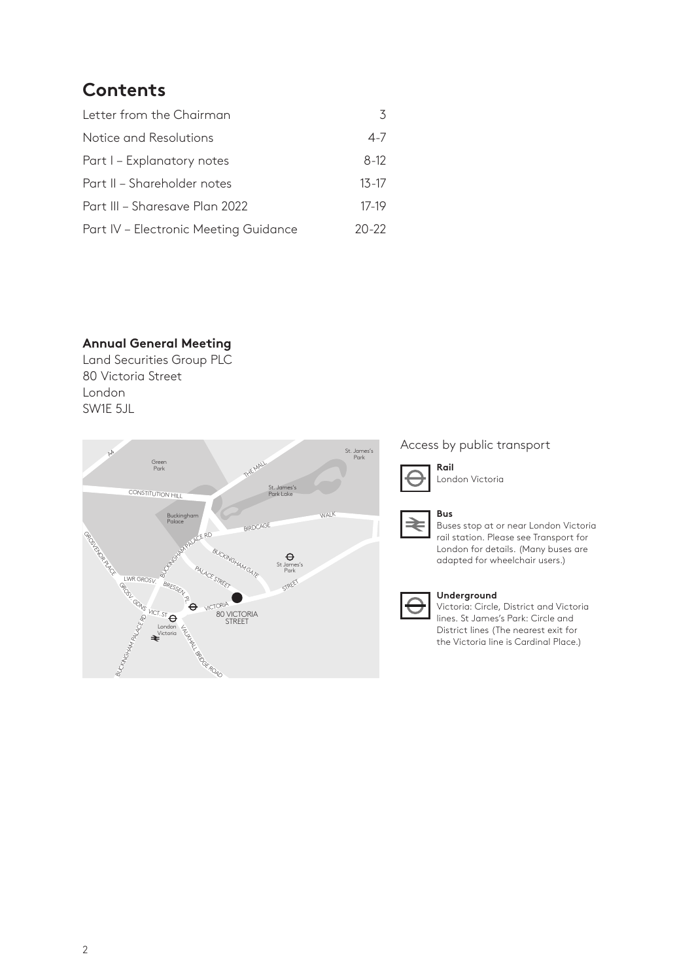# **Contents**

| Letter from the Chairman              |           |
|---------------------------------------|-----------|
| Notice and Resolutions                | $4 - 7$   |
| Part I - Explanatory notes            | $8-12$    |
| Part II – Shareholder notes           | $13 - 17$ |
| Part III – Sharesave Plan 2022        | 17-19     |
| Part IV - Electronic Meeting Guidance | $20 - 22$ |

# **Annual General Meeting**

Land Securities Group PLC 80 Victoria Street London SW1E 5JL



Access by public transport



**Rail** London Victoria



Buses stop at or near London Victoria rail station. Please see Transport for London for details. (Many buses are adapted for wheelchair users.)



A32

#### **Underground**

Victoria: Circle, District and Victoria lines. St James's Park: Circle and District lines (The nearest exit for the Victoria line is Cardinal Place.)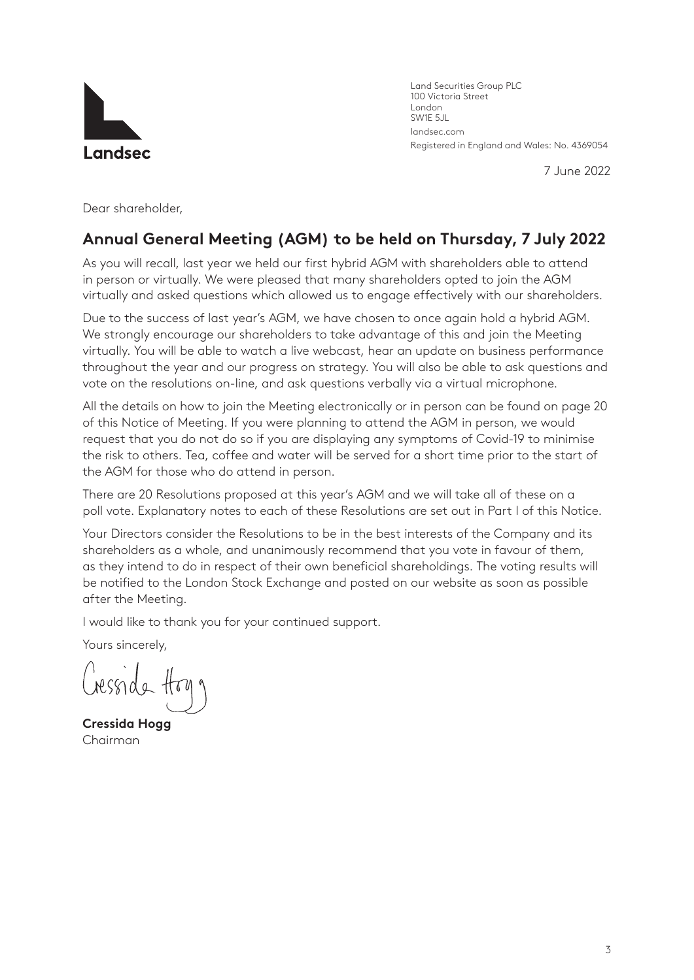

Land Securities Group PLC 100 Victoria Street London SW1E 5JL landsec.com Registered in England and Wales: No. 4369054

7 June 2022

Dear shareholder,

# **Annual General Meeting (AGM) to be held on Thursday, 7 July 2022**

As you will recall, last year we held our first hybrid AGM with shareholders able to attend in person or virtually. We were pleased that many shareholders opted to join the AGM virtually and asked questions which allowed us to engage effectively with our shareholders.

Due to the success of last year's AGM, we have chosen to once again hold a hybrid AGM. We strongly encourage our shareholders to take advantage of this and join the Meeting virtually. You will be able to watch a live webcast, hear an update on business performance throughout the year and our progress on strategy. You will also be able to ask questions and vote on the resolutions on-line, and ask questions verbally via a virtual microphone.

All the details on how to join the Meeting electronically or in person can be found on page 20 of this Notice of Meeting. If you were planning to attend the AGM in person, we would request that you do not do so if you are displaying any symptoms of Covid-19 to minimise the risk to others. Tea, coffee and water will be served for a short time prior to the start of the AGM for those who do attend in person.

There are 20 Resolutions proposed at this year's AGM and we will take all of these on a poll vote. Explanatory notes to each of these Resolutions are set out in Part I of this Notice.

Your Directors consider the Resolutions to be in the best interests of the Company and its shareholders as a whole, and unanimously recommend that you vote in favour of them, as they intend to do in respect of their own beneficial shareholdings. The voting results will be notified to the London Stock Exchange and posted on our website as soon as possible after the Meeting.

I would like to thank you for your continued support.

Yours sincerely,

**Cressida Hogg** Chairman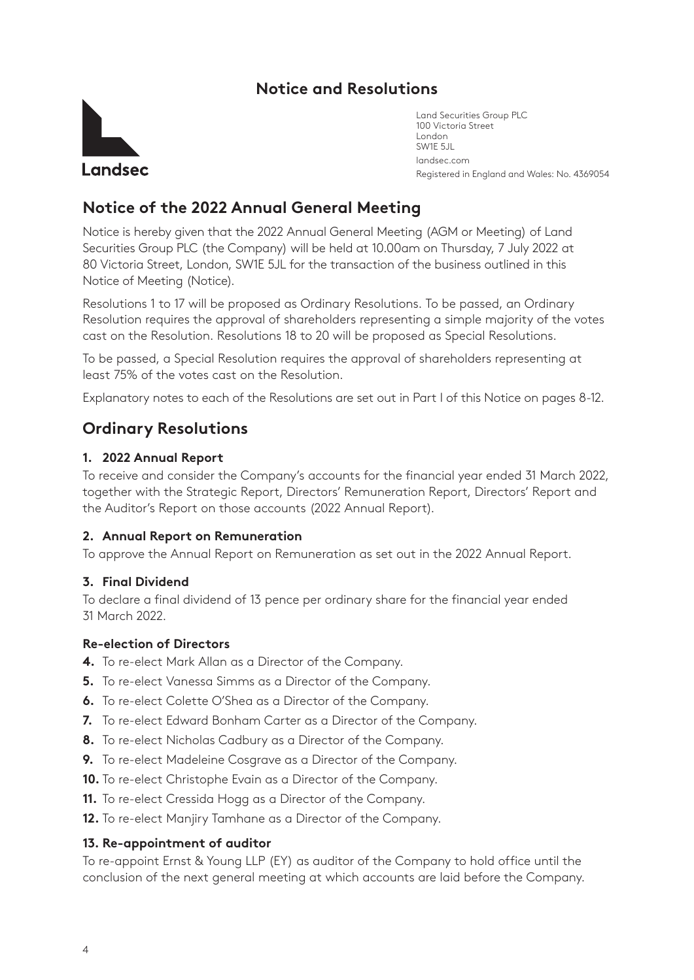# **Notice and Resolutions**



Land Securities Group PLC 100 Victoria Street London SW1E 5JL landsec.com Registered in England and Wales: No. 4369054

# **Notice of the 2022 Annual General Meeting**

Notice is hereby given that the 2022 Annual General Meeting (AGM or Meeting) of Land Securities Group PLC (the Company) will be held at 10.00am on Thursday, 7 July 2022 at 80 Victoria Street, London, SW1E 5JL for the transaction of the business outlined in this Notice of Meeting (Notice).

Resolutions 1 to 17 will be proposed as Ordinary Resolutions. To be passed, an Ordinary Resolution requires the approval of shareholders representing a simple majority of the votes cast on the Resolution. Resolutions 18 to 20 will be proposed as Special Resolutions.

To be passed, a Special Resolution requires the approval of shareholders representing at least 75% of the votes cast on the Resolution.

Explanatory notes to each of the Resolutions are set out in Part I of this Notice on pages 8-12.

# **Ordinary Resolutions**

## **1. 2022 Annual Report**

To receive and consider the Company's accounts for the financial year ended 31 March 2022, together with the Strategic Report, Directors' Remuneration Report, Directors' Report and the Auditor's Report on those accounts (2022 Annual Report).

#### **2. Annual Report on Remuneration**

To approve the Annual Report on Remuneration as set out in the 2022 Annual Report.

#### **3. Final Dividend**

To declare a final dividend of 13 pence per ordinary share for the financial year ended 31 March 2022.

#### **Re-election of Directors**

- **4.** To re-elect Mark Allan as a Director of the Company.
- **5.** To re-elect Vanessa Simms as a Director of the Company.
- **6.** To re-elect Colette O'Shea as a Director of the Company.
- **7.** To re-elect Edward Bonham Carter as a Director of the Company.
- **8.** To re-elect Nicholas Cadbury as a Director of the Company.
- **9.** To re-elect Madeleine Cosgrave as a Director of the Company.
- **10.** To re-elect Christophe Evain as a Director of the Company.
- **11.** To re-elect Cressida Hogg as a Director of the Company.
- **12.** To re-elect Manjiry Tamhane as a Director of the Company.

#### **13. Re-appointment of auditor**

To re-appoint Ernst & Young LLP (EY) as auditor of the Company to hold office until the conclusion of the next general meeting at which accounts are laid before the Company.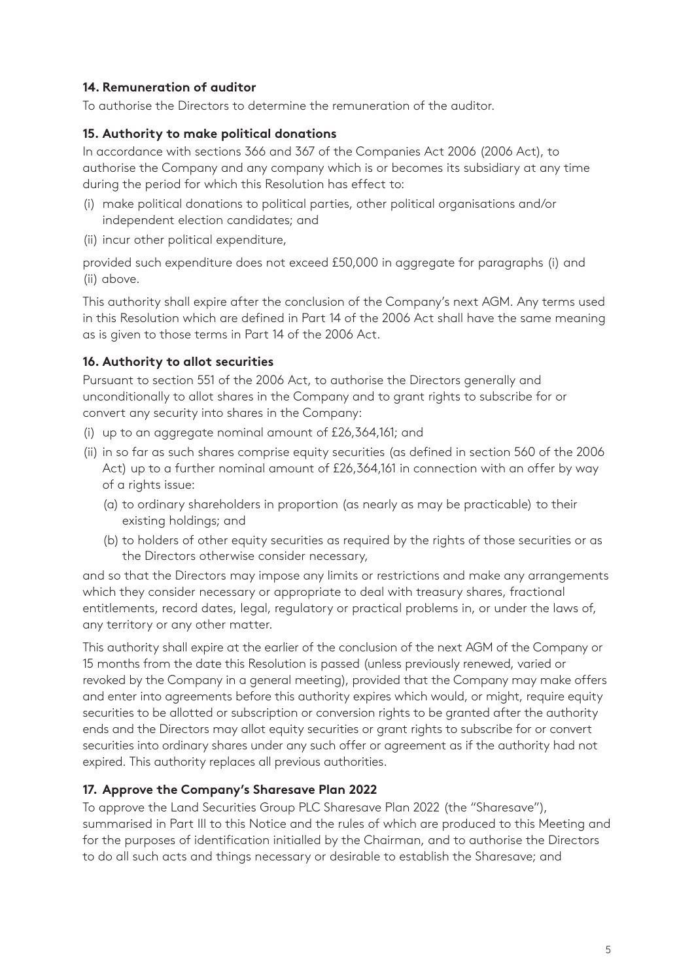# **14. Remuneration of auditor**

To authorise the Directors to determine the remuneration of the auditor.

## **15. Authority to make political donations**

In accordance with sections 366 and 367 of the Companies Act 2006 (2006 Act), to authorise the Company and any company which is or becomes its subsidiary at any time during the period for which this Resolution has effect to:

- (i) make political donations to political parties, other political organisations and/or independent election candidates; and
- (ii) incur other political expenditure,

provided such expenditure does not exceed £50,000 in aggregate for paragraphs (i) and (ii) above.

This authority shall expire after the conclusion of the Company's next AGM. Any terms used in this Resolution which are defined in Part 14 of the 2006 Act shall have the same meaning as is given to those terms in Part 14 of the 2006 Act.

## **16. Authority to allot securities**

Pursuant to section 551 of the 2006 Act, to authorise the Directors generally and unconditionally to allot shares in the Company and to grant rights to subscribe for or convert any security into shares in the Company:

- (i) up to an aggregate nominal amount of £26,364,161; and
- (ii) in so far as such shares comprise equity securities (as defined in section 560 of the 2006 Act) up to a further nominal amount of £26,364,161 in connection with an offer by way of a rights issue:
	- (a) to ordinary shareholders in proportion (as nearly as may be practicable) to their existing holdings; and
	- (b) to holders of other equity securities as required by the rights of those securities or as the Directors otherwise consider necessary,

and so that the Directors may impose any limits or restrictions and make any arrangements which they consider necessary or appropriate to deal with treasury shares, fractional entitlements, record dates, legal, regulatory or practical problems in, or under the laws of, any territory or any other matter.

This authority shall expire at the earlier of the conclusion of the next AGM of the Company or 15 months from the date this Resolution is passed (unless previously renewed, varied or revoked by the Company in a general meeting), provided that the Company may make offers and enter into agreements before this authority expires which would, or might, require equity securities to be allotted or subscription or conversion rights to be granted after the authority ends and the Directors may allot equity securities or grant rights to subscribe for or convert securities into ordinary shares under any such offer or agreement as if the authority had not expired. This authority replaces all previous authorities.

# **17. Approve the Company's Sharesave Plan 2022**

To approve the Land Securities Group PLC Sharesave Plan 2022 (the "Sharesave"), summarised in Part III to this Notice and the rules of which are produced to this Meeting and for the purposes of identification initialled by the Chairman, and to authorise the Directors to do all such acts and things necessary or desirable to establish the Sharesave; and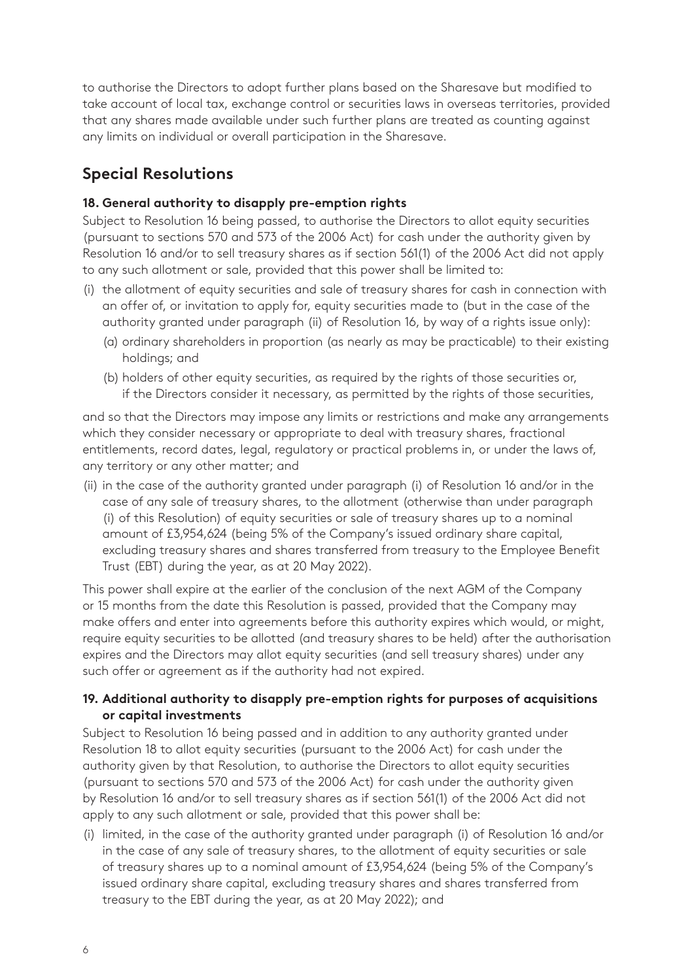to authorise the Directors to adopt further plans based on the Sharesave but modified to take account of local tax, exchange control or securities laws in overseas territories, provided that any shares made available under such further plans are treated as counting against any limits on individual or overall participation in the Sharesave.

# **Special Resolutions**

# **18. General authority to disapply pre-emption rights**

Subject to Resolution 16 being passed, to authorise the Directors to allot equity securities (pursuant to sections 570 and 573 of the 2006 Act) for cash under the authority given by Resolution 16 and/or to sell treasury shares as if section 561(1) of the 2006 Act did not apply to any such allotment or sale, provided that this power shall be limited to:

- (i) the allotment of equity securities and sale of treasury shares for cash in connection with an offer of, or invitation to apply for, equity securities made to (but in the case of the authority granted under paragraph (ii) of Resolution 16, by way of a rights issue only):
	- (a) ordinary shareholders in proportion (as nearly as may be practicable) to their existing holdings; and
	- (b) holders of other equity securities, as required by the rights of those securities or, if the Directors consider it necessary, as permitted by the rights of those securities,

and so that the Directors may impose any limits or restrictions and make any arrangements which they consider necessary or appropriate to deal with treasury shares, fractional entitlements, record dates, legal, regulatory or practical problems in, or under the laws of, any territory or any other matter; and

(ii) in the case of the authority granted under paragraph (i) of Resolution 16 and/or in the case of any sale of treasury shares, to the allotment (otherwise than under paragraph (i) of this Resolution) of equity securities or sale of treasury shares up to a nominal amount of £3,954,624 (being 5% of the Company's issued ordinary share capital, excluding treasury shares and shares transferred from treasury to the Employee Benefit Trust (EBT) during the year, as at 20 May 2022).

This power shall expire at the earlier of the conclusion of the next AGM of the Company or 15 months from the date this Resolution is passed, provided that the Company may make offers and enter into agreements before this authority expires which would, or might, require equity securities to be allotted (and treasury shares to be held) after the authorisation expires and the Directors may allot equity securities (and sell treasury shares) under any such offer or agreement as if the authority had not expired.

## **19. Additional authority to disapply pre-emption rights for purposes of acquisitions or capital investments**

Subject to Resolution 16 being passed and in addition to any authority granted under Resolution 18 to allot equity securities (pursuant to the 2006 Act) for cash under the authority given by that Resolution, to authorise the Directors to allot equity securities (pursuant to sections 570 and 573 of the 2006 Act) for cash under the authority given by Resolution 16 and/or to sell treasury shares as if section 561(1) of the 2006 Act did not apply to any such allotment or sale, provided that this power shall be:

(i) limited, in the case of the authority granted under paragraph (i) of Resolution 16 and/or in the case of any sale of treasury shares, to the allotment of equity securities or sale of treasury shares up to a nominal amount of £3,954,624 (being 5% of the Company's issued ordinary share capital, excluding treasury shares and shares transferred from treasury to the EBT during the year, as at 20 May 2022); and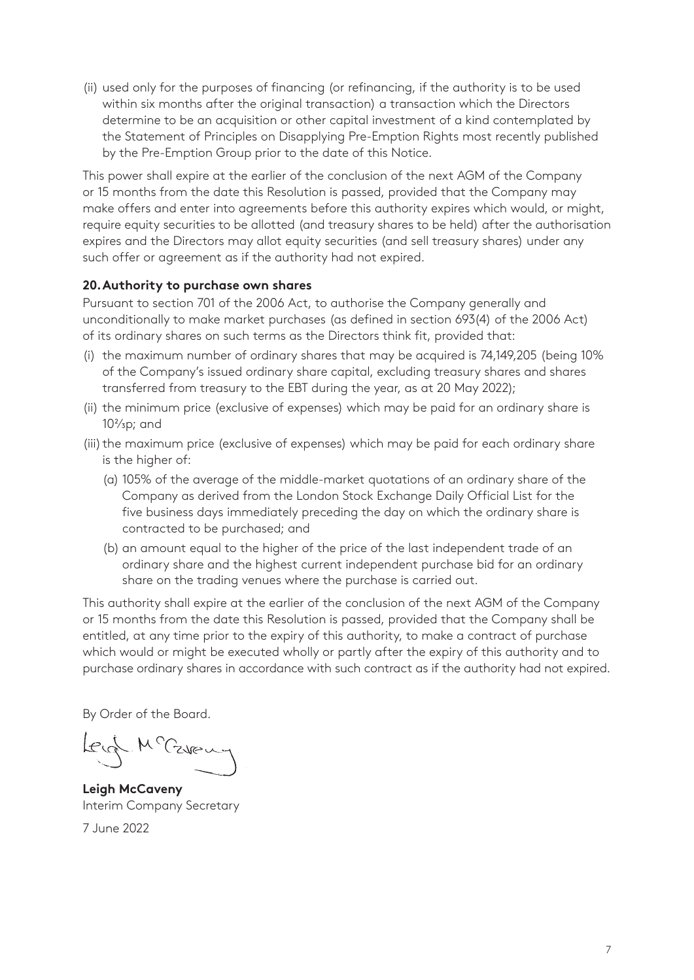(ii) used only for the purposes of financing (or refinancing, if the authority is to be used within six months after the original transaction) a transaction which the Directors determine to be an acquisition or other capital investment of a kind contemplated by the Statement of Principles on Disapplying Pre-Emption Rights most recently published by the Pre-Emption Group prior to the date of this Notice.

This power shall expire at the earlier of the conclusion of the next AGM of the Company or 15 months from the date this Resolution is passed, provided that the Company may make offers and enter into agreements before this authority expires which would, or might, require equity securities to be allotted (and treasury shares to be held) after the authorisation expires and the Directors may allot equity securities (and sell treasury shares) under any such offer or agreement as if the authority had not expired.

## **20.Authority to purchase own shares**

Pursuant to section 701 of the 2006 Act, to authorise the Company generally and unconditionally to make market purchases (as defined in section 693(4) of the 2006 Act) of its ordinary shares on such terms as the Directors think fit, provided that:

- (i) the maximum number of ordinary shares that may be acquired is 74,149,205 (being 10% of the Company's issued ordinary share capital, excluding treasury shares and shares transferred from treasury to the EBT during the year, as at 20 May 2022);
- (ii) the minimum price (exclusive of expenses) which may be paid for an ordinary share is 102/3p; and
- (iii) the maximum price (exclusive of expenses) which may be paid for each ordinary share is the higher of:
	- (a) 105% of the average of the middle-market quotations of an ordinary share of the Company as derived from the London Stock Exchange Daily Official List for the five business days immediately preceding the day on which the ordinary share is contracted to be purchased; and
	- (b) an amount equal to the higher of the price of the last independent trade of an ordinary share and the highest current independent purchase bid for an ordinary share on the trading venues where the purchase is carried out.

This authority shall expire at the earlier of the conclusion of the next AGM of the Company or 15 months from the date this Resolution is passed, provided that the Company shall be entitled, at any time prior to the expiry of this authority, to make a contract of purchase which would or might be executed wholly or partly after the expiry of this authority and to purchase ordinary shares in accordance with such contract as if the authority had not expired.

By Order of the Board.

Lengt McCzyeny

**Leigh McCaveny** Interim Company Secretary

7 June 2022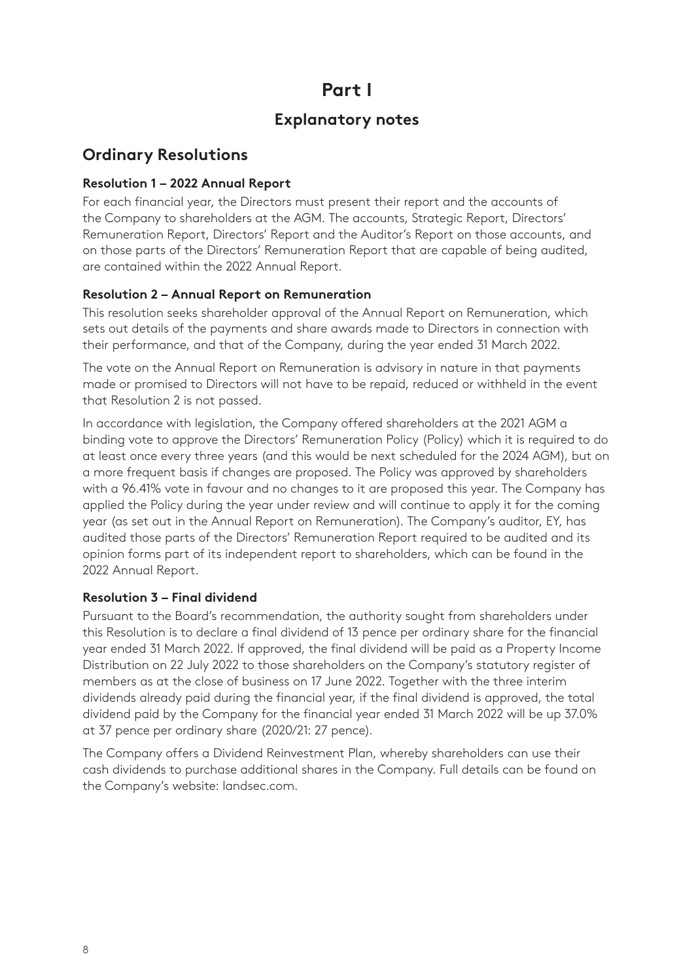# **Part I**

# **Explanatory notes**

# **Ordinary Resolutions**

# **Resolution 1 – 2022 Annual Report**

For each financial year, the Directors must present their report and the accounts of the Company to shareholders at the AGM. The accounts, Strategic Report, Directors' Remuneration Report, Directors' Report and the Auditor's Report on those accounts, and on those parts of the Directors' Remuneration Report that are capable of being audited, are contained within the 2022 Annual Report.

# **Resolution 2 – Annual Report on Remuneration**

This resolution seeks shareholder approval of the Annual Report on Remuneration, which sets out details of the payments and share awards made to Directors in connection with their performance, and that of the Company, during the year ended 31 March 2022.

The vote on the Annual Report on Remuneration is advisory in nature in that payments made or promised to Directors will not have to be repaid, reduced or withheld in the event that Resolution 2 is not passed.

In accordance with legislation, the Company offered shareholders at the 2021 AGM a binding vote to approve the Directors' Remuneration Policy (Policy) which it is required to do at least once every three years (and this would be next scheduled for the 2024 AGM), but on a more frequent basis if changes are proposed. The Policy was approved by shareholders with a 96.41% vote in favour and no changes to it are proposed this year. The Company has applied the Policy during the year under review and will continue to apply it for the coming year (as set out in the Annual Report on Remuneration). The Company's auditor, EY, has audited those parts of the Directors' Remuneration Report required to be audited and its opinion forms part of its independent report to shareholders, which can be found in the 2022 Annual Report.

# **Resolution 3 – Final dividend**

Pursuant to the Board's recommendation, the authority sought from shareholders under this Resolution is to declare a final dividend of 13 pence per ordinary share for the financial year ended 31 March 2022. If approved, the final dividend will be paid as a Property Income Distribution on 22 July 2022 to those shareholders on the Company's statutory register of members as at the close of business on 17 June 2022. Together with the three interim dividends already paid during the financial year, if the final dividend is approved, the total dividend paid by the Company for the financial year ended 31 March 2022 will be up 37.0% at 37 pence per ordinary share (2020/21: 27 pence).

The Company offers a Dividend Reinvestment Plan, whereby shareholders can use their cash dividends to purchase additional shares in the Company. Full details can be found on the Company's website: landsec.com.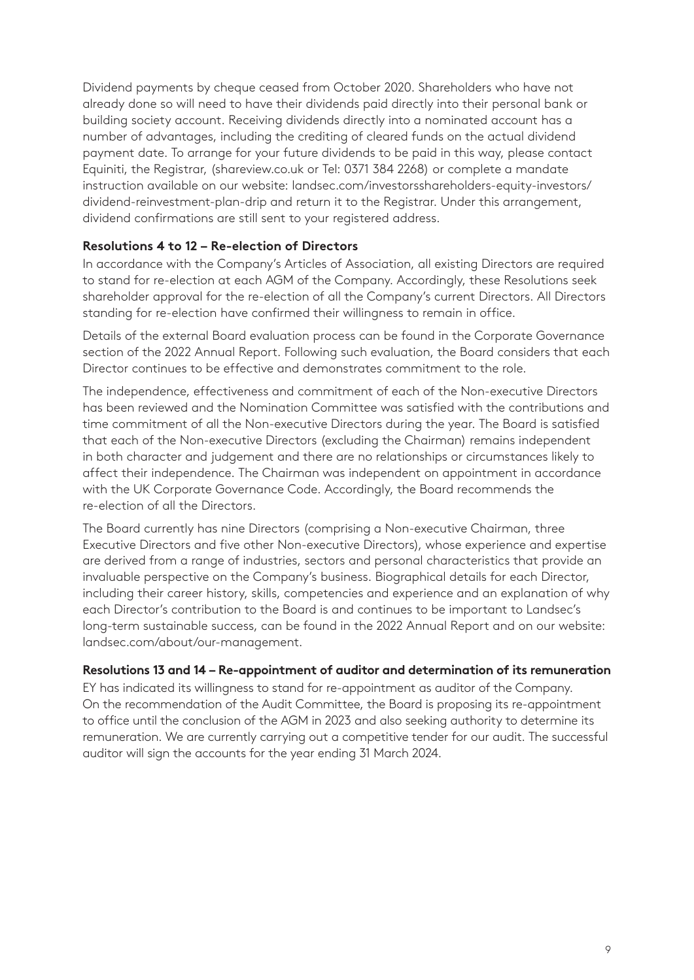Dividend payments by cheque ceased from October 2020. Shareholders who have not already done so will need to have their dividends paid directly into their personal bank or building society account. Receiving dividends directly into a nominated account has a number of advantages, including the crediting of cleared funds on the actual dividend payment date. To arrange for your future dividends to be paid in this way, please contact Equiniti, the Registrar, (shareview.co.uk or Tel: 0371 384 2268) or complete a mandate instruction available on our website: landsec.com/investorsshareholders-equity-investors/ dividend-reinvestment-plan-drip and return it to the Registrar. Under this arrangement, dividend confirmations are still sent to your registered address.

### **Resolutions 4 to 12 – Re-election of Directors**

In accordance with the Company's Articles of Association, all existing Directors are required to stand for re-election at each AGM of the Company. Accordingly, these Resolutions seek shareholder approval for the re-election of all the Company's current Directors. All Directors standing for re-election have confirmed their willingness to remain in office.

Details of the external Board evaluation process can be found in the Corporate Governance section of the 2022 Annual Report. Following such evaluation, the Board considers that each Director continues to be effective and demonstrates commitment to the role.

The independence, effectiveness and commitment of each of the Non-executive Directors has been reviewed and the Nomination Committee was satisfied with the contributions and time commitment of all the Non-executive Directors during the year. The Board is satisfied that each of the Non-executive Directors (excluding the Chairman) remains independent in both character and judgement and there are no relationships or circumstances likely to affect their independence. The Chairman was independent on appointment in accordance with the UK Corporate Governance Code. Accordingly, the Board recommends the re-election of all the Directors.

The Board currently has nine Directors (comprising a Non-executive Chairman, three Executive Directors and five other Non-executive Directors), whose experience and expertise are derived from a range of industries, sectors and personal characteristics that provide an invaluable perspective on the Company's business. Biographical details for each Director, including their career history, skills, competencies and experience and an explanation of why each Director's contribution to the Board is and continues to be important to Landsec's long-term sustainable success, can be found in the 2022 Annual Report and on our website: landsec.com/about/our-management.

#### **Resolutions 13 and 14 – Re-appointment of auditor and determination of its remuneration**

EY has indicated its willingness to stand for re-appointment as auditor of the Company. On the recommendation of the Audit Committee, the Board is proposing its re-appointment to office until the conclusion of the AGM in 2023 and also seeking authority to determine its remuneration. We are currently carrying out a competitive tender for our audit. The successful auditor will sign the accounts for the year ending 31 March 2024.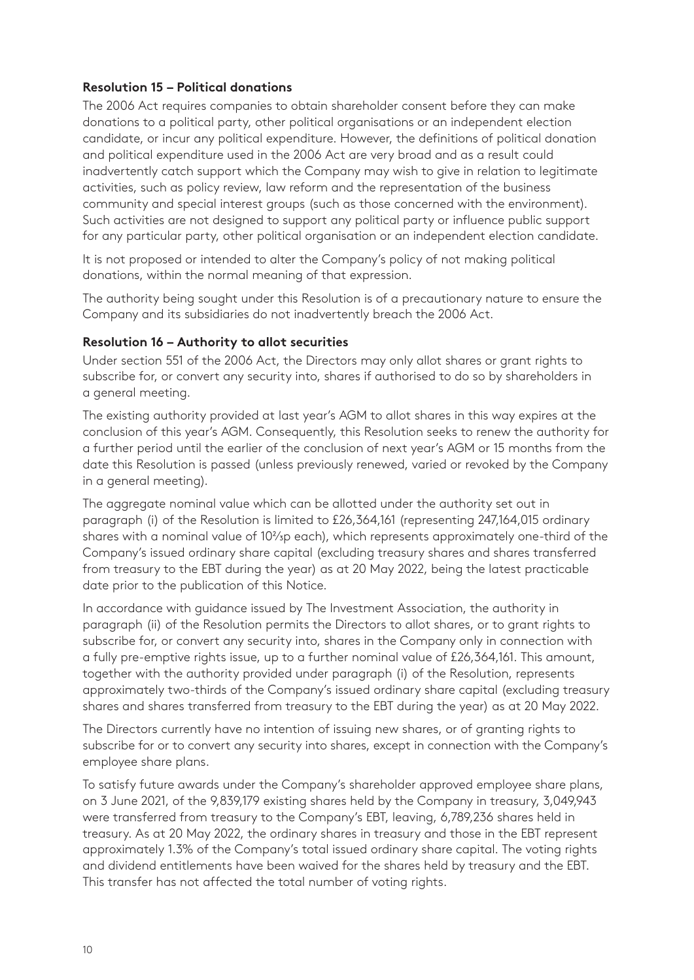## **Resolution 15 – Political donations**

The 2006 Act requires companies to obtain shareholder consent before they can make donations to a political party, other political organisations or an independent election candidate, or incur any political expenditure. However, the definitions of political donation and political expenditure used in the 2006 Act are very broad and as a result could inadvertently catch support which the Company may wish to give in relation to legitimate activities, such as policy review, law reform and the representation of the business community and special interest groups (such as those concerned with the environment). Such activities are not designed to support any political party or influence public support for any particular party, other political organisation or an independent election candidate.

It is not proposed or intended to alter the Company's policy of not making political donations, within the normal meaning of that expression.

The authority being sought under this Resolution is of a precautionary nature to ensure the Company and its subsidiaries do not inadvertently breach the 2006 Act.

#### **Resolution 16 – Authority to allot securities**

Under section 551 of the 2006 Act, the Directors may only allot shares or grant rights to subscribe for, or convert any security into, shares if authorised to do so by shareholders in a general meeting.

The existing authority provided at last year's AGM to allot shares in this way expires at the conclusion of this year's AGM. Consequently, this Resolution seeks to renew the authority for a further period until the earlier of the conclusion of next year's AGM or 15 months from the date this Resolution is passed (unless previously renewed, varied or revoked by the Company in a general meeting).

The aggregate nominal value which can be allotted under the authority set out in paragraph (i) of the Resolution is limited to £26,364,161 (representing 247,164,015 ordinary shares with a nominal value of 102/3p each), which represents approximately one-third of the Company's issued ordinary share capital (excluding treasury shares and shares transferred from treasury to the EBT during the year) as at 20 May 2022, being the latest practicable date prior to the publication of this Notice.

In accordance with guidance issued by The Investment Association, the authority in paragraph (ii) of the Resolution permits the Directors to allot shares, or to grant rights to subscribe for, or convert any security into, shares in the Company only in connection with a fully pre-emptive rights issue, up to a further nominal value of £26,364,161. This amount, together with the authority provided under paragraph (i) of the Resolution, represents approximately two-thirds of the Company's issued ordinary share capital (excluding treasury shares and shares transferred from treasury to the EBT during the year) as at 20 May 2022.

The Directors currently have no intention of issuing new shares, or of granting rights to subscribe for or to convert any security into shares, except in connection with the Company's employee share plans.

To satisfy future awards under the Company's shareholder approved employee share plans, on 3 June 2021, of the 9,839,179 existing shares held by the Company in treasury, 3,049,943 were transferred from treasury to the Company's EBT, leaving, 6,789,236 shares held in treasury. As at 20 May 2022, the ordinary shares in treasury and those in the EBT represent approximately 1.3% of the Company's total issued ordinary share capital. The voting rights and dividend entitlements have been waived for the shares held by treasury and the EBT. This transfer has not affected the total number of voting rights.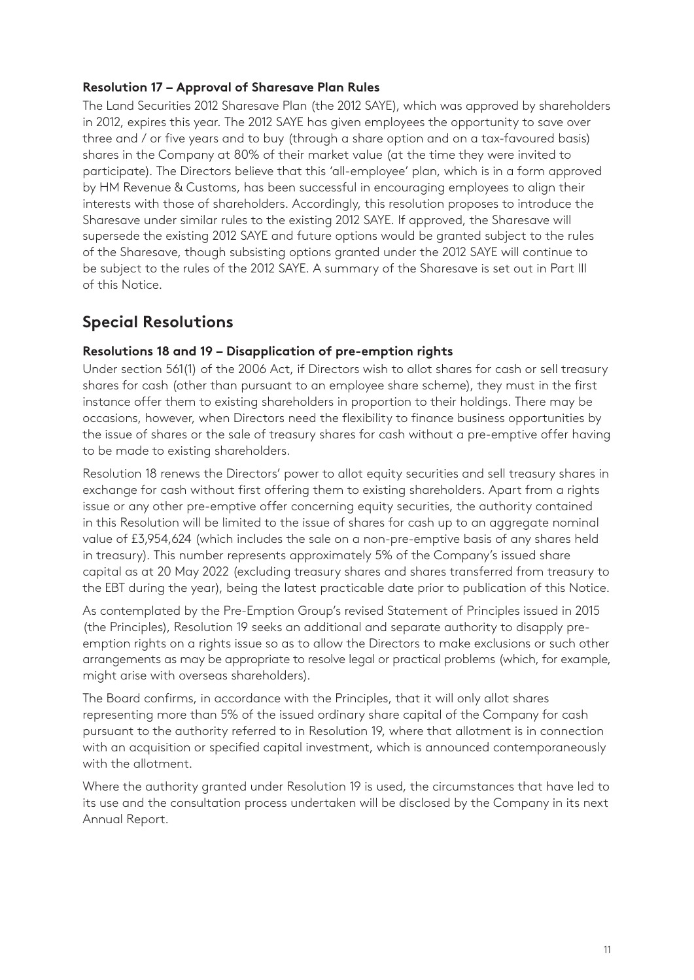## **Resolution 17 – Approval of Sharesave Plan Rules**

The Land Securities 2012 Sharesave Plan (the 2012 SAYE), which was approved by shareholders in 2012, expires this year. The 2012 SAYE has given employees the opportunity to save over three and / or five years and to buy (through a share option and on a tax-favoured basis) shares in the Company at 80% of their market value (at the time they were invited to participate). The Directors believe that this 'all-employee' plan, which is in a form approved by HM Revenue & Customs, has been successful in encouraging employees to align their interests with those of shareholders. Accordingly, this resolution proposes to introduce the Sharesave under similar rules to the existing 2012 SAYE. If approved, the Sharesave will supersede the existing 2012 SAYE and future options would be granted subject to the rules of the Sharesave, though subsisting options granted under the 2012 SAYE will continue to be subject to the rules of the 2012 SAYE. A summary of the Sharesave is set out in Part III of this Notice.

# **Special Resolutions**

## **Resolutions 18 and 19 – Disapplication of pre-emption rights**

Under section 561(1) of the 2006 Act, if Directors wish to allot shares for cash or sell treasury shares for cash (other than pursuant to an employee share scheme), they must in the first instance offer them to existing shareholders in proportion to their holdings. There may be occasions, however, when Directors need the flexibility to finance business opportunities by the issue of shares or the sale of treasury shares for cash without a pre-emptive offer having to be made to existing shareholders.

Resolution 18 renews the Directors' power to allot equity securities and sell treasury shares in exchange for cash without first offering them to existing shareholders. Apart from a rights issue or any other pre-emptive offer concerning equity securities, the authority contained in this Resolution will be limited to the issue of shares for cash up to an aggregate nominal value of £3,954,624 (which includes the sale on a non-pre-emptive basis of any shares held in treasury). This number represents approximately 5% of the Company's issued share capital as at 20 May 2022 (excluding treasury shares and shares transferred from treasury to the EBT during the year), being the latest practicable date prior to publication of this Notice.

As contemplated by the Pre-Emption Group's revised Statement of Principles issued in 2015 (the Principles), Resolution 19 seeks an additional and separate authority to disapply preemption rights on a rights issue so as to allow the Directors to make exclusions or such other arrangements as may be appropriate to resolve legal or practical problems (which, for example, might arise with overseas shareholders).

The Board confirms, in accordance with the Principles, that it will only allot shares representing more than 5% of the issued ordinary share capital of the Company for cash pursuant to the authority referred to in Resolution 19, where that allotment is in connection with an acquisition or specified capital investment, which is announced contemporaneously with the allotment.

Where the authority granted under Resolution 19 is used, the circumstances that have led to its use and the consultation process undertaken will be disclosed by the Company in its next Annual Report.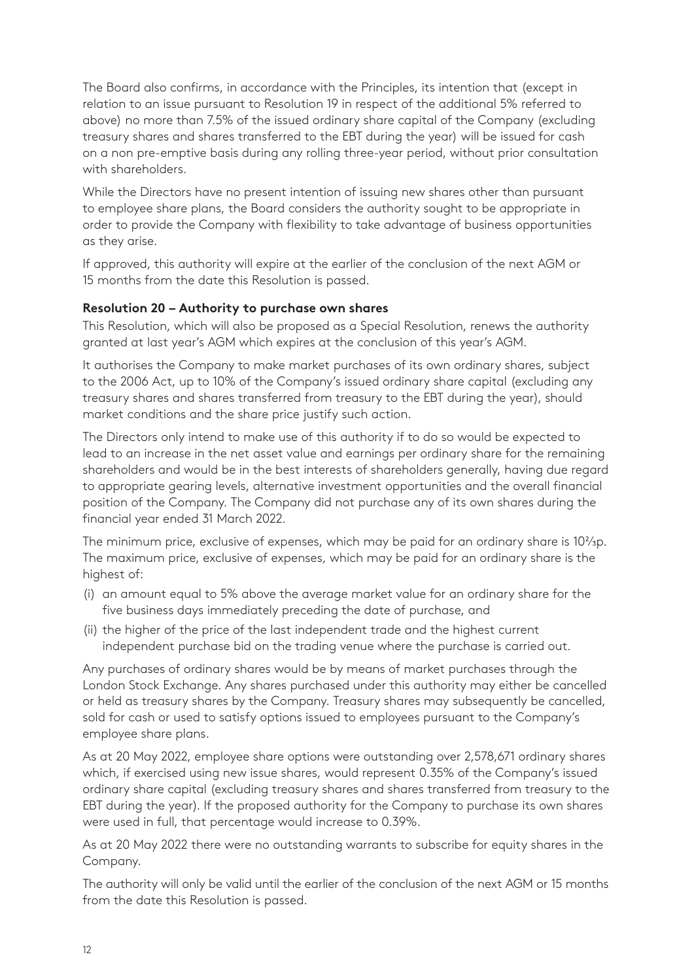The Board also confirms, in accordance with the Principles, its intention that (except in relation to an issue pursuant to Resolution 19 in respect of the additional 5% referred to above) no more than 7.5% of the issued ordinary share capital of the Company (excluding treasury shares and shares transferred to the EBT during the year) will be issued for cash on a non pre-emptive basis during any rolling three-year period, without prior consultation with shareholders.

While the Directors have no present intention of issuing new shares other than pursuant to employee share plans, the Board considers the authority sought to be appropriate in order to provide the Company with flexibility to take advantage of business opportunities as they arise.

If approved, this authority will expire at the earlier of the conclusion of the next AGM or 15 months from the date this Resolution is passed.

## **Resolution 20 – Authority to purchase own shares**

This Resolution, which will also be proposed as a Special Resolution, renews the authority granted at last year's AGM which expires at the conclusion of this year's AGM.

It authorises the Company to make market purchases of its own ordinary shares, subject to the 2006 Act, up to 10% of the Company's issued ordinary share capital (excluding any treasury shares and shares transferred from treasury to the EBT during the year), should market conditions and the share price justify such action.

The Directors only intend to make use of this authority if to do so would be expected to lead to an increase in the net asset value and earnings per ordinary share for the remaining shareholders and would be in the best interests of shareholders generally, having due regard to appropriate gearing levels, alternative investment opportunities and the overall financial position of the Company. The Company did not purchase any of its own shares during the financial year ended 31 March 2022.

The minimum price, exclusive of expenses, which may be paid for an ordinary share is 10<sup>2</sup>/<sub>3</sub>p. The maximum price, exclusive of expenses, which may be paid for an ordinary share is the highest of:

- (i) an amount equal to 5% above the average market value for an ordinary share for the five business days immediately preceding the date of purchase, and
- (ii) the higher of the price of the last independent trade and the highest current independent purchase bid on the trading venue where the purchase is carried out.

Any purchases of ordinary shares would be by means of market purchases through the London Stock Exchange. Any shares purchased under this authority may either be cancelled or held as treasury shares by the Company. Treasury shares may subsequently be cancelled, sold for cash or used to satisfy options issued to employees pursuant to the Company's employee share plans.

As at 20 May 2022, employee share options were outstanding over 2,578,671 ordinary shares which, if exercised using new issue shares, would represent 0.35% of the Company's issued ordinary share capital (excluding treasury shares and shares transferred from treasury to the EBT during the year). If the proposed authority for the Company to purchase its own shares were used in full, that percentage would increase to 0.39%.

As at 20 May 2022 there were no outstanding warrants to subscribe for equity shares in the Company.

The authority will only be valid until the earlier of the conclusion of the next AGM or 15 months from the date this Resolution is passed.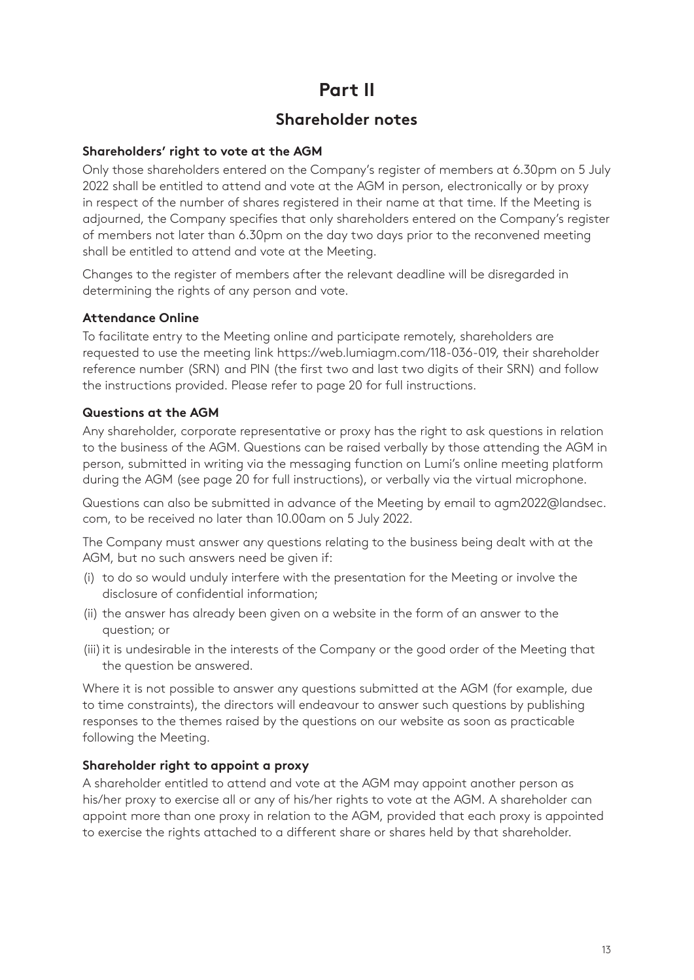# **Part II**

# **Shareholder notes**

# **Shareholders' right to vote at the AGM**

Only those shareholders entered on the Company's register of members at 6.30pm on 5 July 2022 shall be entitled to attend and vote at the AGM in person, electronically or by proxy in respect of the number of shares registered in their name at that time. If the Meeting is adjourned, the Company specifies that only shareholders entered on the Company's register of members not later than 6.30pm on the day two days prior to the reconvened meeting shall be entitled to attend and vote at the Meeting.

Changes to the register of members after the relevant deadline will be disregarded in determining the rights of any person and vote.

# **Attendance Online**

To facilitate entry to the Meeting online and participate remotely, shareholders are requested to use the meeting link https://web.lumiagm.com/118-036-019, their shareholder reference number (SRN) and PIN (the first two and last two digits of their SRN) and follow the instructions provided. Please refer to page 20 for full instructions.

## **Questions at the AGM**

Any shareholder, corporate representative or proxy has the right to ask questions in relation to the business of the AGM. Questions can be raised verbally by those attending the AGM in person, submitted in writing via the messaging function on Lumi's online meeting platform during the AGM (see page 20 for full instructions), or verbally via the virtual microphone.

Questions can also be submitted in advance of the Meeting by email to agm2022@landsec. com, to be received no later than 10.00am on 5 July 2022.

The Company must answer any questions relating to the business being dealt with at the AGM, but no such answers need be given if:

- (i) to do so would unduly interfere with the presentation for the Meeting or involve the disclosure of confidential information;
- (ii) the answer has already been given on a website in the form of an answer to the question; or
- (iii) it is undesirable in the interests of the Company or the good order of the Meeting that the question be answered.

Where it is not possible to answer any questions submitted at the AGM (for example, due to time constraints), the directors will endeavour to answer such questions by publishing responses to the themes raised by the questions on our website as soon as practicable following the Meeting.

# **Shareholder right to appoint a proxy**

A shareholder entitled to attend and vote at the AGM may appoint another person as his/her proxy to exercise all or any of his/her rights to vote at the AGM. A shareholder can appoint more than one proxy in relation to the AGM, provided that each proxy is appointed to exercise the rights attached to a different share or shares held by that shareholder.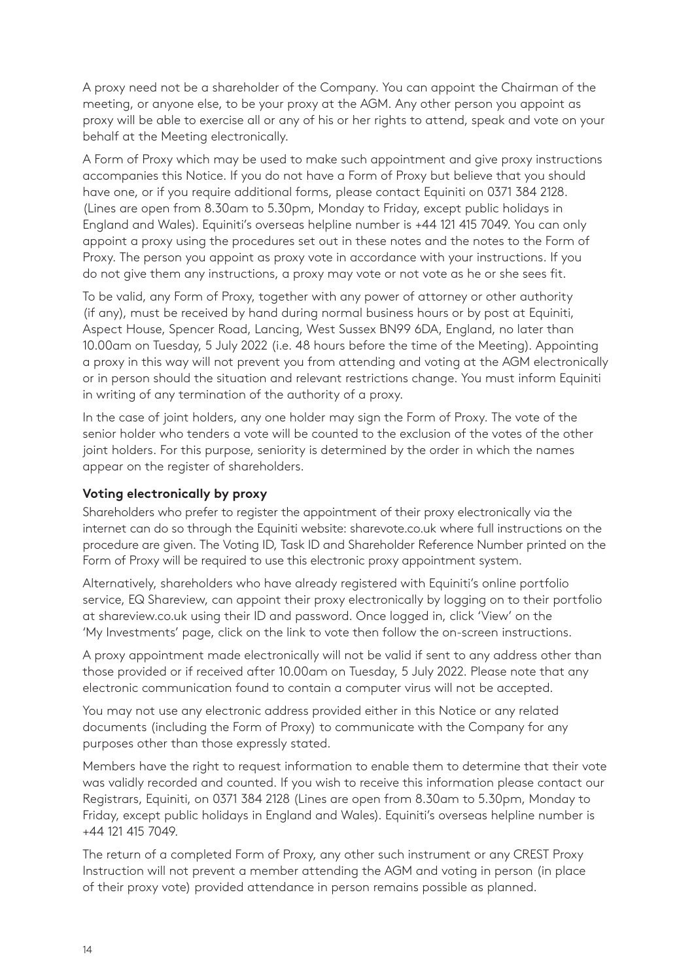A proxy need not be a shareholder of the Company. You can appoint the Chairman of the meeting, or anyone else, to be your proxy at the AGM. Any other person you appoint as proxy will be able to exercise all or any of his or her rights to attend, speak and vote on your behalf at the Meeting electronically.

A Form of Proxy which may be used to make such appointment and give proxy instructions accompanies this Notice. If you do not have a Form of Proxy but believe that you should have one, or if you require additional forms, please contact Equiniti on 0371 384 2128. (Lines are open from 8.30am to 5.30pm, Monday to Friday, except public holidays in England and Wales). Equiniti's overseas helpline number is +44 121 415 7049. You can only appoint a proxy using the procedures set out in these notes and the notes to the Form of Proxy. The person you appoint as proxy vote in accordance with your instructions. If you do not give them any instructions, a proxy may vote or not vote as he or she sees fit.

To be valid, any Form of Proxy, together with any power of attorney or other authority (if any), must be received by hand during normal business hours or by post at Equiniti, Aspect House, Spencer Road, Lancing, West Sussex BN99 6DA, England, no later than 10.00am on Tuesday, 5 July 2022 (i.e. 48 hours before the time of the Meeting). Appointing a proxy in this way will not prevent you from attending and voting at the AGM electronically or in person should the situation and relevant restrictions change. You must inform Equiniti in writing of any termination of the authority of a proxy.

In the case of joint holders, any one holder may sign the Form of Proxy. The vote of the senior holder who tenders a vote will be counted to the exclusion of the votes of the other joint holders. For this purpose, seniority is determined by the order in which the names appear on the register of shareholders.

# **Voting electronically by proxy**

Shareholders who prefer to register the appointment of their proxy electronically via the internet can do so through the Equiniti website: sharevote.co.uk where full instructions on the procedure are given. The Voting ID, Task ID and Shareholder Reference Number printed on the Form of Proxy will be required to use this electronic proxy appointment system.

Alternatively, shareholders who have already registered with Equiniti's online portfolio service, EQ Shareview, can appoint their proxy electronically by logging on to their portfolio at shareview.co.uk using their ID and password. Once logged in, click 'View' on the 'My Investments' page, click on the link to vote then follow the on-screen instructions.

A proxy appointment made electronically will not be valid if sent to any address other than those provided or if received after 10.00am on Tuesday, 5 July 2022. Please note that any electronic communication found to contain a computer virus will not be accepted.

You may not use any electronic address provided either in this Notice or any related documents (including the Form of Proxy) to communicate with the Company for any purposes other than those expressly stated.

Members have the right to request information to enable them to determine that their vote was validly recorded and counted. If you wish to receive this information please contact our Registrars, Equiniti, on 0371 384 2128 (Lines are open from 8.30am to 5.30pm, Monday to Friday, except public holidays in England and Wales). Equiniti's overseas helpline number is +44 121 415 7049.

The return of a completed Form of Proxy, any other such instrument or any CREST Proxy Instruction will not prevent a member attending the AGM and voting in person (in place of their proxy vote) provided attendance in person remains possible as planned.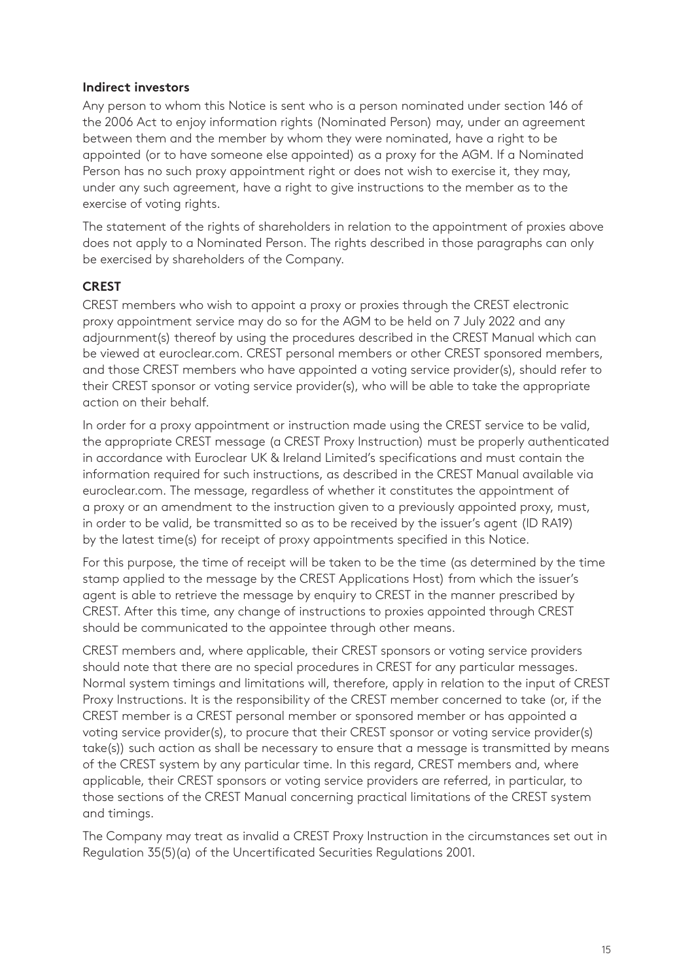#### **Indirect investors**

Any person to whom this Notice is sent who is a person nominated under section 146 of the 2006 Act to enjoy information rights (Nominated Person) may, under an agreement between them and the member by whom they were nominated, have a right to be appointed (or to have someone else appointed) as a proxy for the AGM. If a Nominated Person has no such proxy appointment right or does not wish to exercise it, they may, under any such agreement, have a right to give instructions to the member as to the exercise of voting rights.

The statement of the rights of shareholders in relation to the appointment of proxies above does not apply to a Nominated Person. The rights described in those paragraphs can only be exercised by shareholders of the Company.

# **CREST**

CREST members who wish to appoint a proxy or proxies through the CREST electronic proxy appointment service may do so for the AGM to be held on 7 July 2022 and any adjournment(s) thereof by using the procedures described in the CREST Manual which can be viewed at euroclear.com. CREST personal members or other CREST sponsored members, and those CREST members who have appointed a voting service provider(s), should refer to their CREST sponsor or voting service provider(s), who will be able to take the appropriate action on their behalf.

In order for a proxy appointment or instruction made using the CREST service to be valid, the appropriate CREST message (a CREST Proxy Instruction) must be properly authenticated in accordance with Euroclear UK & Ireland Limited's specifications and must contain the information required for such instructions, as described in the CREST Manual available via euroclear.com. The message, regardless of whether it constitutes the appointment of a proxy or an amendment to the instruction given to a previously appointed proxy, must, in order to be valid, be transmitted so as to be received by the issuer's agent (ID RA19) by the latest time(s) for receipt of proxy appointments specified in this Notice.

For this purpose, the time of receipt will be taken to be the time (as determined by the time stamp applied to the message by the CREST Applications Host) from which the issuer's agent is able to retrieve the message by enquiry to CREST in the manner prescribed by CREST. After this time, any change of instructions to proxies appointed through CREST should be communicated to the appointee through other means.

CREST members and, where applicable, their CREST sponsors or voting service providers should note that there are no special procedures in CREST for any particular messages. Normal system timings and limitations will, therefore, apply in relation to the input of CREST Proxy Instructions. It is the responsibility of the CREST member concerned to take (or, if the CREST member is a CREST personal member or sponsored member or has appointed a voting service provider(s), to procure that their CREST sponsor or voting service provider(s) take(s)) such action as shall be necessary to ensure that a message is transmitted by means of the CREST system by any particular time. In this regard, CREST members and, where applicable, their CREST sponsors or voting service providers are referred, in particular, to those sections of the CREST Manual concerning practical limitations of the CREST system and timings.

The Company may treat as invalid a CREST Proxy Instruction in the circumstances set out in Regulation 35(5)(a) of the Uncertificated Securities Regulations 2001.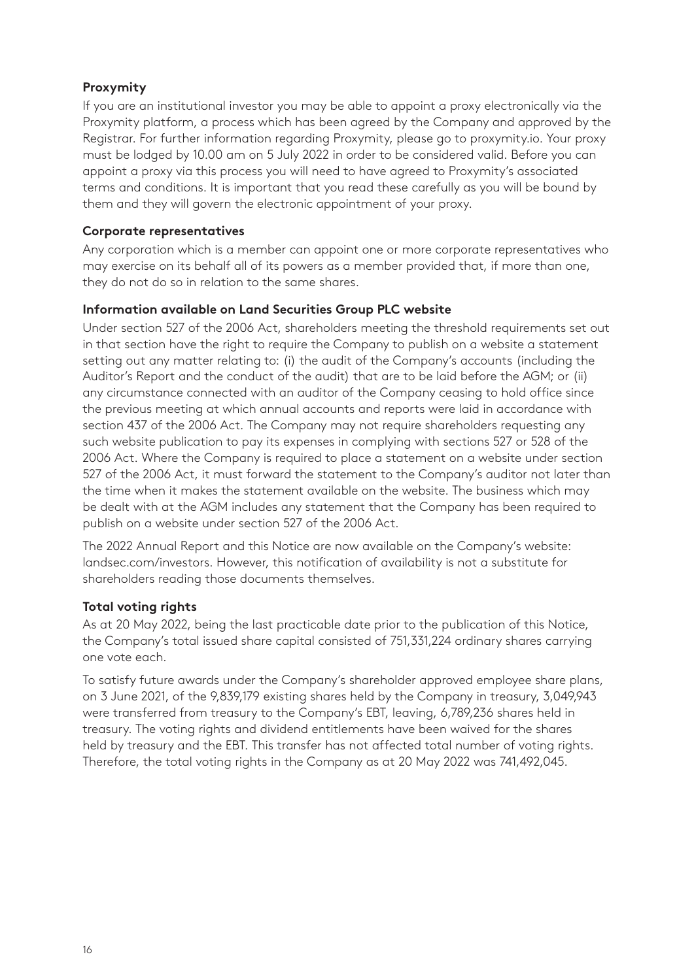# **Proxymity**

If you are an institutional investor you may be able to appoint a proxy electronically via the Proxymity platform, a process which has been agreed by the Company and approved by the Registrar. For further information regarding Proxymity, please go to proxymity.io. Your proxy must be lodged by 10.00 am on 5 July 2022 in order to be considered valid. Before you can appoint a proxy via this process you will need to have agreed to Proxymity's associated terms and conditions. It is important that you read these carefully as you will be bound by them and they will govern the electronic appointment of your proxy.

#### **Corporate representatives**

Any corporation which is a member can appoint one or more corporate representatives who may exercise on its behalf all of its powers as a member provided that, if more than one, they do not do so in relation to the same shares.

## **Information available on Land Securities Group PLC website**

Under section 527 of the 2006 Act, shareholders meeting the threshold requirements set out in that section have the right to require the Company to publish on a website a statement setting out any matter relating to: (i) the audit of the Company's accounts (including the Auditor's Report and the conduct of the audit) that are to be laid before the AGM; or (ii) any circumstance connected with an auditor of the Company ceasing to hold office since the previous meeting at which annual accounts and reports were laid in accordance with section 437 of the 2006 Act. The Company may not require shareholders requesting any such website publication to pay its expenses in complying with sections 527 or 528 of the 2006 Act. Where the Company is required to place a statement on a website under section 527 of the 2006 Act, it must forward the statement to the Company's auditor not later than the time when it makes the statement available on the website. The business which may be dealt with at the AGM includes any statement that the Company has been required to publish on a website under section 527 of the 2006 Act.

The 2022 Annual Report and this Notice are now available on the Company's website: landsec.com/investors. However, this notification of availability is not a substitute for shareholders reading those documents themselves.

# **Total voting rights**

As at 20 May 2022, being the last practicable date prior to the publication of this Notice, the Company's total issued share capital consisted of 751,331,224 ordinary shares carrying one vote each.

To satisfy future awards under the Company's shareholder approved employee share plans, on 3 June 2021, of the 9,839,179 existing shares held by the Company in treasury, 3,049,943 were transferred from treasury to the Company's EBT, leaving, 6,789,236 shares held in treasury. The voting rights and dividend entitlements have been waived for the shares held by treasury and the EBT. This transfer has not affected total number of voting rights. Therefore, the total voting rights in the Company as at 20 May 2022 was 741,492,045.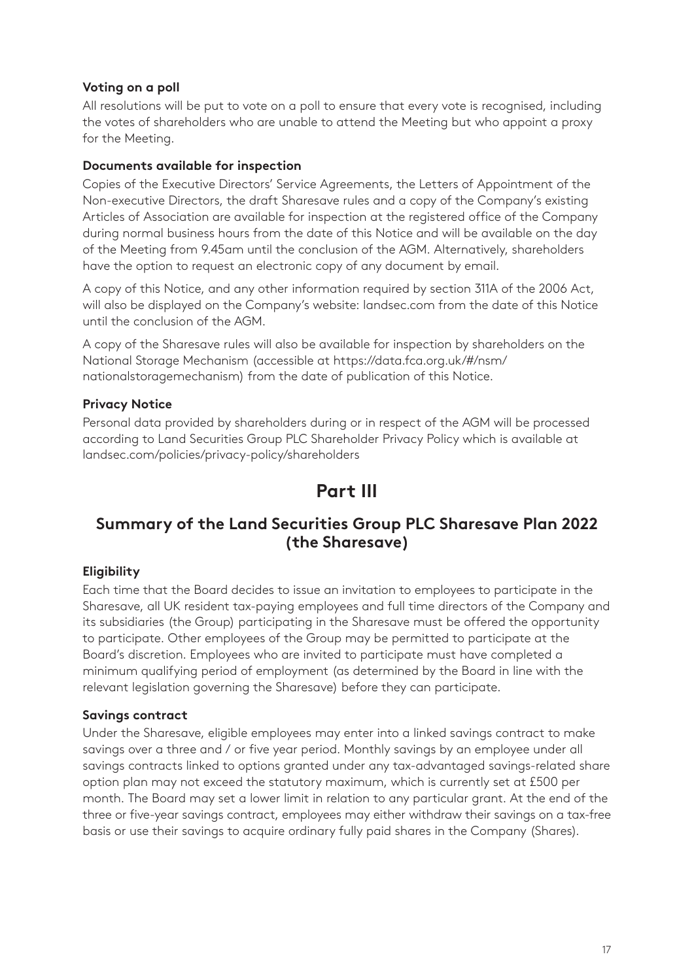## **Voting on a poll**

All resolutions will be put to vote on a poll to ensure that every vote is recognised, including the votes of shareholders who are unable to attend the Meeting but who appoint a proxy for the Meeting.

#### **Documents available for inspection**

Copies of the Executive Directors' Service Agreements, the Letters of Appointment of the Non-executive Directors, the draft Sharesave rules and a copy of the Company's existing Articles of Association are available for inspection at the registered office of the Company during normal business hours from the date of this Notice and will be available on the day of the Meeting from 9.45am until the conclusion of the AGM. Alternatively, shareholders have the option to request an electronic copy of any document by email.

A copy of this Notice, and any other information required by section 311A of the 2006 Act, will also be displayed on the Company's website: landsec.com from the date of this Notice until the conclusion of the AGM.

A copy of the Sharesave rules will also be available for inspection by shareholders on the National Storage Mechanism (accessible at https://data.fca.org.uk/#/nsm/ nationalstoragemechanism) from the date of publication of this Notice.

## **Privacy Notice**

Personal data provided by shareholders during or in respect of the AGM will be processed according to Land Securities Group PLC Shareholder Privacy Policy which is available at landsec.com/policies/privacy-policy/shareholders

# **Part III**

# **Summary of the Land Securities Group PLC Sharesave Plan 2022 (the Sharesave)**

#### **Eligibility**

Each time that the Board decides to issue an invitation to employees to participate in the Sharesave, all UK resident tax-paying employees and full time directors of the Company and its subsidiaries (the Group) participating in the Sharesave must be offered the opportunity to participate. Other employees of the Group may be permitted to participate at the Board's discretion. Employees who are invited to participate must have completed a minimum qualifying period of employment (as determined by the Board in line with the relevant legislation governing the Sharesave) before they can participate.

#### **Savings contract**

Under the Sharesave, eligible employees may enter into a linked savings contract to make savings over a three and / or five year period. Monthly savings by an employee under all savings contracts linked to options granted under any tax-advantaged savings-related share option plan may not exceed the statutory maximum, which is currently set at £500 per month. The Board may set a lower limit in relation to any particular grant. At the end of the three or five-year savings contract, employees may either withdraw their savings on a tax-free basis or use their savings to acquire ordinary fully paid shares in the Company (Shares).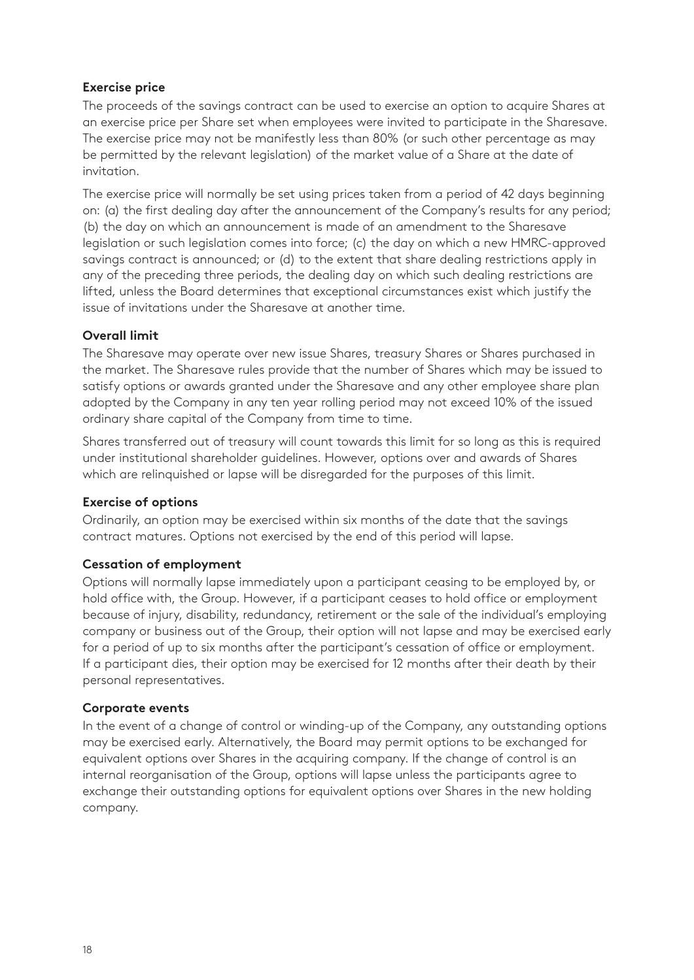## **Exercise price**

The proceeds of the savings contract can be used to exercise an option to acquire Shares at an exercise price per Share set when employees were invited to participate in the Sharesave. The exercise price may not be manifestly less than 80% (or such other percentage as may be permitted by the relevant legislation) of the market value of a Share at the date of invitation.

The exercise price will normally be set using prices taken from a period of 42 days beginning on: (a) the first dealing day after the announcement of the Company's results for any period; (b) the day on which an announcement is made of an amendment to the Sharesave legislation or such legislation comes into force; (c) the day on which a new HMRC-approved savings contract is announced; or (d) to the extent that share dealing restrictions apply in any of the preceding three periods, the dealing day on which such dealing restrictions are lifted, unless the Board determines that exceptional circumstances exist which justify the issue of invitations under the Sharesave at another time.

# **Overall limit**

The Sharesave may operate over new issue Shares, treasury Shares or Shares purchased in the market. The Sharesave rules provide that the number of Shares which may be issued to satisfy options or awards granted under the Sharesave and any other employee share plan adopted by the Company in any ten year rolling period may not exceed 10% of the issued ordinary share capital of the Company from time to time.

Shares transferred out of treasury will count towards this limit for so long as this is required under institutional shareholder guidelines. However, options over and awards of Shares which are relinquished or lapse will be disregarded for the purposes of this limit.

#### **Exercise of options**

Ordinarily, an option may be exercised within six months of the date that the savings contract matures. Options not exercised by the end of this period will lapse.

# **Cessation of employment**

Options will normally lapse immediately upon a participant ceasing to be employed by, or hold office with, the Group. However, if a participant ceases to hold office or employment because of injury, disability, redundancy, retirement or the sale of the individual's employing company or business out of the Group, their option will not lapse and may be exercised early for a period of up to six months after the participant's cessation of office or employment. If a participant dies, their option may be exercised for 12 months after their death by their personal representatives.

#### **Corporate events**

In the event of a change of control or winding-up of the Company, any outstanding options may be exercised early. Alternatively, the Board may permit options to be exchanged for equivalent options over Shares in the acquiring company. If the change of control is an internal reorganisation of the Group, options will lapse unless the participants agree to exchange their outstanding options for equivalent options over Shares in the new holding company.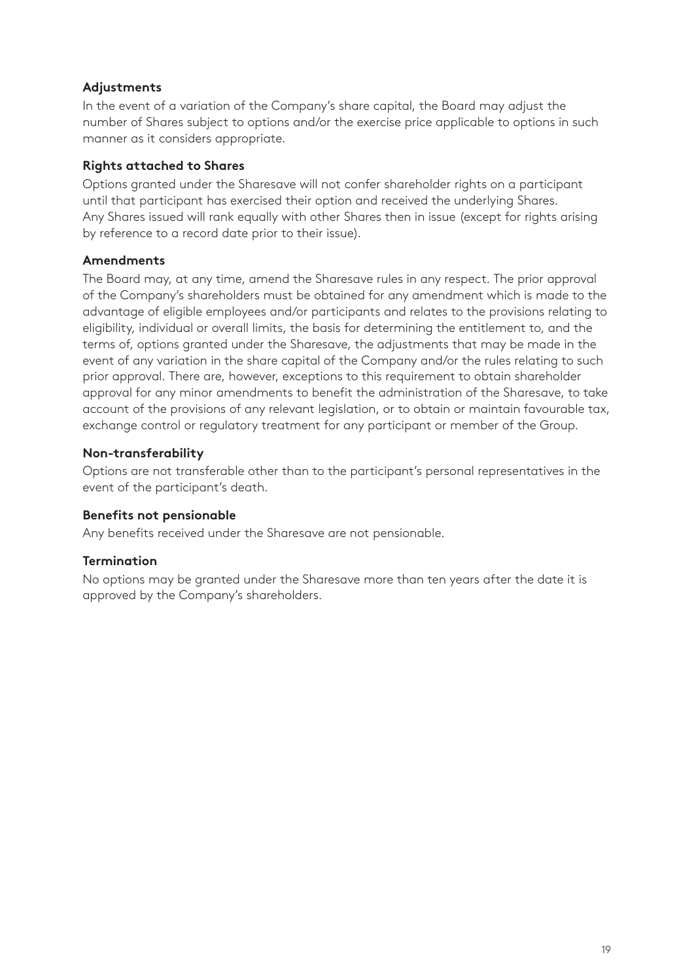# **Adjustments**

In the event of a variation of the Company's share capital, the Board may adjust the number of Shares subject to options and/or the exercise price applicable to options in such manner as it considers appropriate.

## **Rights attached to Shares**

Options granted under the Sharesave will not confer shareholder rights on a participant until that participant has exercised their option and received the underlying Shares. Any Shares issued will rank equally with other Shares then in issue (except for rights arising by reference to a record date prior to their issue).

## **Amendments**

The Board may, at any time, amend the Sharesave rules in any respect. The prior approval of the Company's shareholders must be obtained for any amendment which is made to the advantage of eligible employees and/or participants and relates to the provisions relating to eligibility, individual or overall limits, the basis for determining the entitlement to, and the terms of, options granted under the Sharesave, the adjustments that may be made in the event of any variation in the share capital of the Company and/or the rules relating to such prior approval. There are, however, exceptions to this requirement to obtain shareholder approval for any minor amendments to benefit the administration of the Sharesave, to take account of the provisions of any relevant legislation, or to obtain or maintain favourable tax, exchange control or regulatory treatment for any participant or member of the Group.

## **Non-transferability**

Options are not transferable other than to the participant's personal representatives in the event of the participant's death.

#### **Benefits not pensionable**

Any benefits received under the Sharesave are not pensionable.

# **Termination**

No options may be granted under the Sharesave more than ten years after the date it is approved by the Company's shareholders.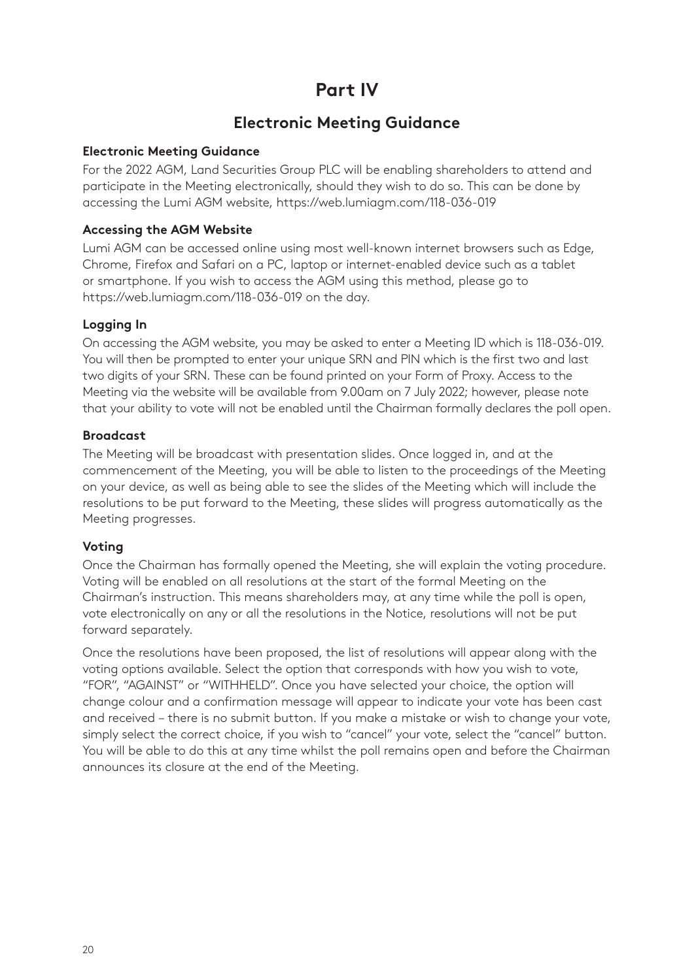# **Part IV**

# **Electronic Meeting Guidance**

# **Electronic Meeting Guidance**

For the 2022 AGM, Land Securities Group PLC will be enabling shareholders to attend and participate in the Meeting electronically, should they wish to do so. This can be done by accessing the Lumi AGM website, https://web.lumiagm.com/118-036-019

# **Accessing the AGM Website**

Lumi AGM can be accessed online using most well-known internet browsers such as Edge, Chrome, Firefox and Safari on a PC, laptop or internet-enabled device such as a tablet or smartphone. If you wish to access the AGM using this method, please go to https://web.lumiagm.com/118-036-019 on the day.

# **Logging In**

On accessing the AGM website, you may be asked to enter a Meeting ID which is 118-036-019. You will then be prompted to enter your unique SRN and PIN which is the first two and last two digits of your SRN. These can be found printed on your Form of Proxy. Access to the Meeting via the website will be available from 9.00am on 7 July 2022; however, please note that your ability to vote will not be enabled until the Chairman formally declares the poll open.

# **Broadcast**

The Meeting will be broadcast with presentation slides. Once logged in, and at the commencement of the Meeting, you will be able to listen to the proceedings of the Meeting on your device, as well as being able to see the slides of the Meeting which will include the resolutions to be put forward to the Meeting, these slides will progress automatically as the Meeting progresses.

# **Voting**

Once the Chairman has formally opened the Meeting, she will explain the voting procedure. Voting will be enabled on all resolutions at the start of the formal Meeting on the Chairman's instruction. This means shareholders may, at any time while the poll is open, vote electronically on any or all the resolutions in the Notice, resolutions will not be put forward separately.

Once the resolutions have been proposed, the list of resolutions will appear along with the voting options available. Select the option that corresponds with how you wish to vote, "FOR", "AGAINST" or "WITHHELD". Once you have selected your choice, the option will change colour and a confirmation message will appear to indicate your vote has been cast and received – there is no submit button. If you make a mistake or wish to change your vote, simply select the correct choice, if you wish to "cancel" your vote, select the "cancel" button. You will be able to do this at any time whilst the poll remains open and before the Chairman announces its closure at the end of the Meeting.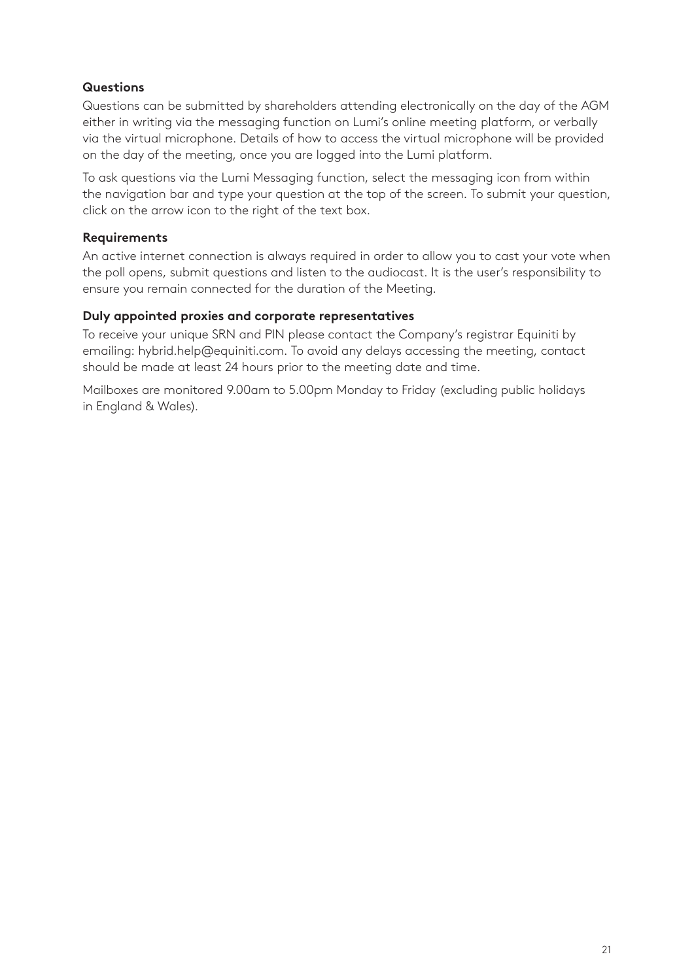# **Questions**

Questions can be submitted by shareholders attending electronically on the day of the AGM either in writing via the messaging function on Lumi's online meeting platform, or verbally via the virtual microphone. Details of how to access the virtual microphone will be provided on the day of the meeting, once you are logged into the Lumi platform.

To ask questions via the Lumi Messaging function, select the messaging icon from within the navigation bar and type your question at the top of the screen. To submit your question, click on the arrow icon to the right of the text box.

# **Requirements**

An active internet connection is always required in order to allow you to cast your vote when the poll opens, submit questions and listen to the audiocast. It is the user's responsibility to ensure you remain connected for the duration of the Meeting.

# **Duly appointed proxies and corporate representatives**

To receive your unique SRN and PIN please contact the Company's registrar Equiniti by emailing: hybrid.help@equiniti.com. To avoid any delays accessing the meeting, contact should be made at least 24 hours prior to the meeting date and time.

Mailboxes are monitored 9.00am to 5.00pm Monday to Friday (excluding public holidays in England & Wales).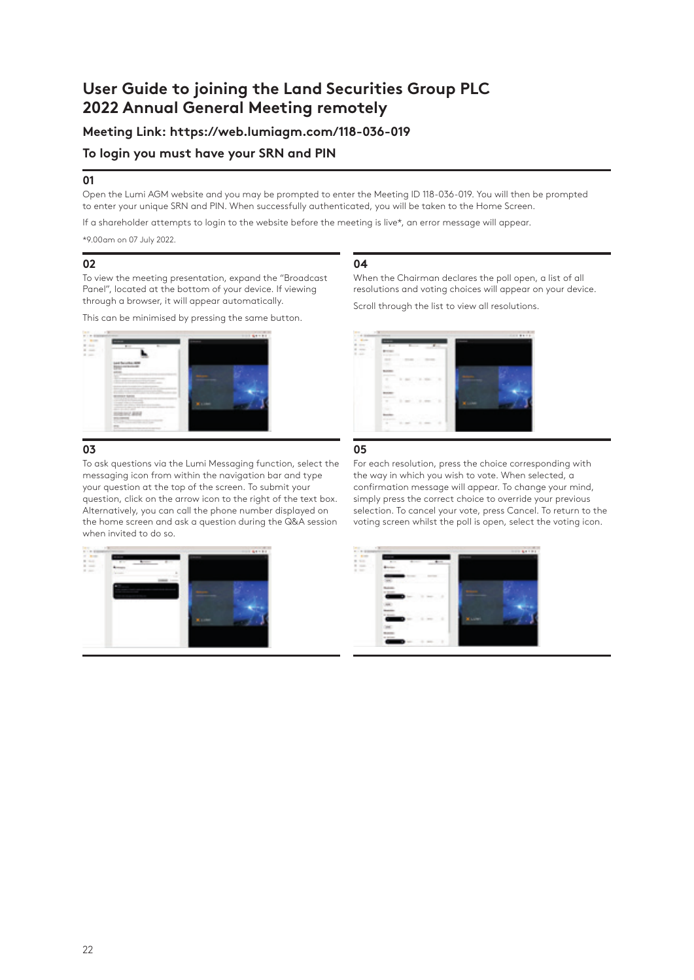# **User Guide to joining the Land Securities Group PLC 2022 Annual General Meeting remotely**

#### **Meeting Link: https://web.lumiagm.com/118-036-019**

#### **To login you must have your SRN and PIN**

#### **01**

Open the Lumi AGM website and you may be prompted to enter the Meeting ID 118-036-019. You will then be prompted to enter your unique SRN and PIN. When successfully authenticated, you will be taken to the Home Screen.

If a shareholder attempts to login to the website before the meeting is live\*, an error message will appear.

\*9.00am on 07 July 2022.

To view the meeting presentation, expand the "Broadcast Panel", located at the bottom of your device. If viewing through a browser, it will appear automatically.

This can be minimised by pressing the same button.



#### **03 05**

To ask questions via the Lumi Messaging function, select the messaging icon from within the navigation bar and type your question at the top of the screen. To submit your question, click on the arrow icon to the right of the text box. Alternatively, you can call the phone number displayed on the home screen and ask a question during the Q&A session when invited to do so.



# **02 04**

When the Chairman declares the poll open, a list of all resolutions and voting choices will appear on your device.

Scroll through the list to view all resolutions.



For each resolution, press the choice corresponding with the way in which you wish to vote. When selected, a confirmation message will appear. To change your mind, simply press the correct choice to override your previous selection. To cancel your vote, press Cancel. To return to the voting screen whilst the poll is open, select the voting icon.

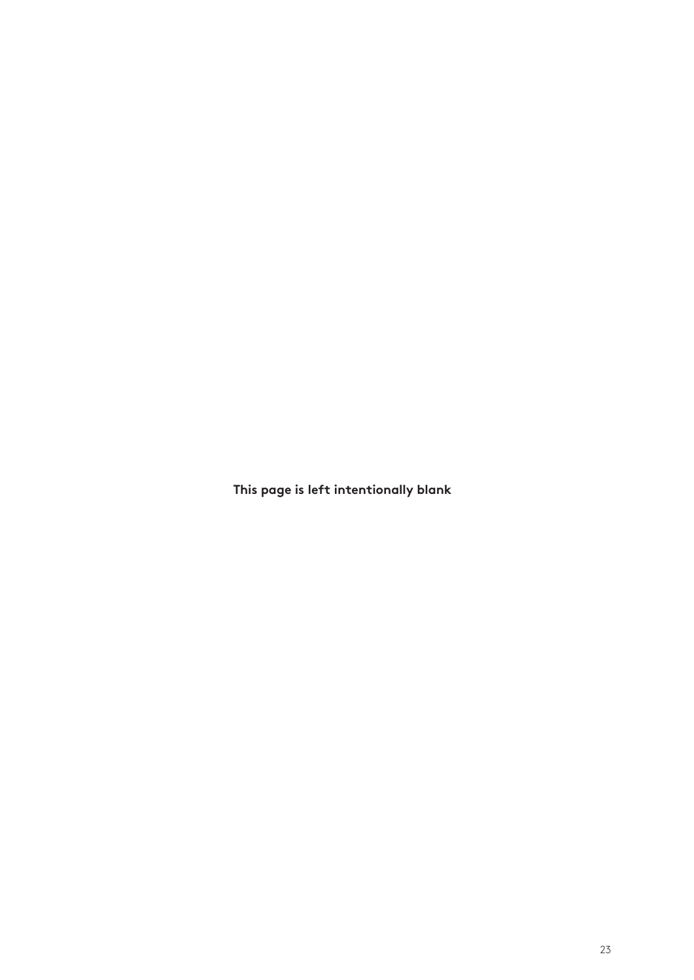**This page is left intentionally blank**